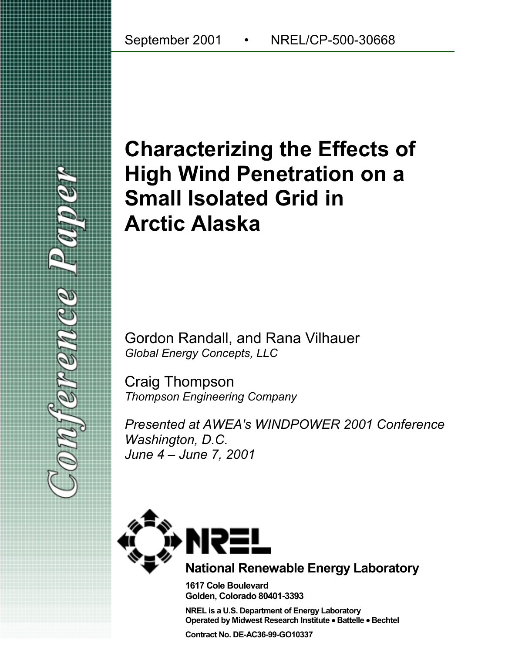# **Characterizing the Effects of High Wind Penetration on a Small Isolated Grid in Arctic Alaska**

Gordon Randall, and Rana Vilhauer *Global Energy Concepts, LLC*

Craig Thompson *Thompson Engineering Company*

*Presented at AWEA's WINDPOWER 2001 Conference Washington, D.C. June 4 – June 7, 2001*



**1617 Cole Boulevard Golden, Colorado 80401-3393**

**NREL is a U.S. Department of Energy Laboratory Operated by Midwest Research Institute** • **Battelle** • **Bechtel**

**Contract No. DE-AC36-99-GO10337**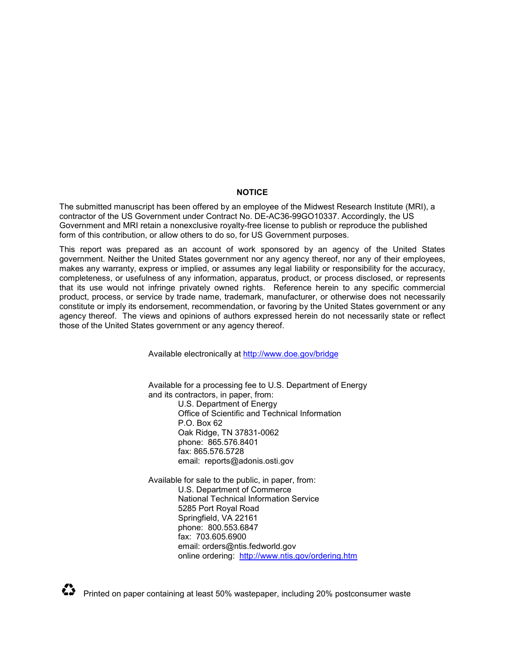#### **NOTICE**

The submitted manuscript has been offered by an employee of the Midwest Research Institute (MRI), a contractor of the US Government under Contract No. DE-AC36-99GO10337. Accordingly, the US Government and MRI retain a nonexclusive royalty-free license to publish or reproduce the published form of this contribution, or allow others to do so, for US Government purposes.

This report was prepared as an account of work sponsored by an agency of the United States government. Neither the United States government nor any agency thereof, nor any of their employees, makes any warranty, express or implied, or assumes any legal liability or responsibility for the accuracy, completeness, or usefulness of any information, apparatus, product, or process disclosed, or represents that its use would not infringe privately owned rights. Reference herein to any specific commercial product, process, or service by trade name, trademark, manufacturer, or otherwise does not necessarily constitute or imply its endorsement, recommendation, or favoring by the United States government or any agency thereof. The views and opinions of authors expressed herein do not necessarily state or reflect those of the United States government or any agency thereof.

Available electronically at http://www.doe.gov/bridge

Available for a processing fee to U.S. Department of Energy and its contractors, in paper, from:

U.S. Department of Energy Office of Scientific and Technical Information P.O. Box 62 Oak Ridge, TN 37831-0062 phone: 865.576.8401 fax: 865.576.5728 email: reports@adonis.osti.gov

Available for sale to the public, in paper, from: U.S. Department of Commerce National Technical Information Service 5285 Port Royal Road Springfield, VA 22161 phone: 800.553.6847 fax: 703.605.6900 email: orders@ntis.fedworld.gov online ordering: http://www.ntis.gov/ordering.htm

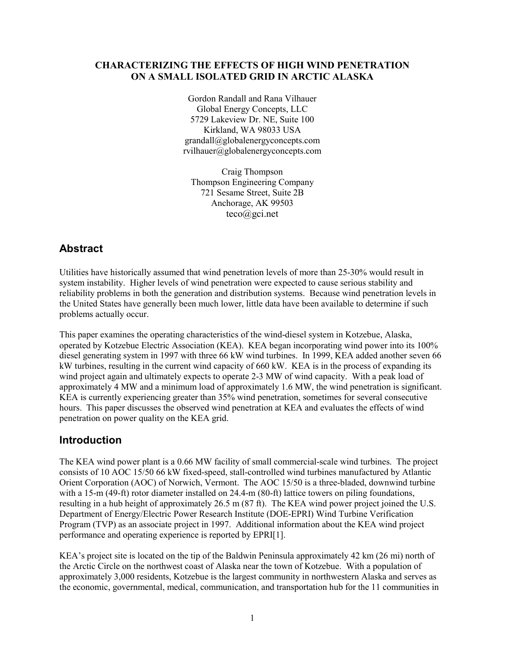## **CHARACTERIZING THE EFFECTS OF HIGH WIND PENETRATION ON A SMALL ISOLATED GRID IN ARCTIC ALASKA**

Gordon Randall and Rana Vilhauer Global Energy Concepts, LLC 5729 Lakeview Dr. NE, Suite 100 Kirkland, WA 98033 USA grandall@globalenergyconcepts.com rvilhauer@globalenergyconcepts.com

Craig Thompson Thompson Engineering Company 721 Sesame Street, Suite 2B Anchorage, AK 99503 teco@gci.net

# **Abstract**

Utilities have historically assumed that wind penetration levels of more than 25-30% would result in system instability. Higher levels of wind penetration were expected to cause serious stability and reliability problems in both the generation and distribution systems. Because wind penetration levels in the United States have generally been much lower, little data have been available to determine if such problems actually occur.

This paper examines the operating characteristics of the wind-diesel system in Kotzebue, Alaska, operated by Kotzebue Electric Association (KEA). KEA began incorporating wind power into its 100% diesel generating system in 1997 with three 66 kW wind turbines. In 1999, KEA added another seven 66 kW turbines, resulting in the current wind capacity of 660 kW. KEA is in the process of expanding its wind project again and ultimately expects to operate 2-3 MW of wind capacity. With a peak load of approximately 4 MW and a minimum load of approximately 1.6 MW, the wind penetration is significant. KEA is currently experiencing greater than 35% wind penetration, sometimes for several consecutive hours. This paper discusses the observed wind penetration at KEA and evaluates the effects of wind penetration on power quality on the KEA grid.

# **Introduction**

The KEA wind power plant is a 0.66 MW facility of small commercial-scale wind turbines. The project consists of 10 AOC 15/50 66 kW fixed-speed, stall-controlled wind turbines manufactured by Atlantic Orient Corporation (AOC) of Norwich, Vermont. The AOC 15/50 is a three-bladed, downwind turbine with a 15-m (49-ft) rotor diameter installed on 24.4-m (80-ft) lattice towers on piling foundations, resulting in a hub height of approximately 26.5 m (87 ft). The KEA wind power project joined the U.S. Department of Energy/Electric Power Research Institute (DOE-EPRI) Wind Turbine Verification Program (TVP) as an associate project in 1997. Additional information about the KEA wind project performance and operating experience is reported by EPRI[1].

KEA's project site is located on the tip of the Baldwin Peninsula approximately 42 km (26 mi) north of the Arctic Circle on the northwest coast of Alaska near the town of Kotzebue. With a population of approximately 3,000 residents, Kotzebue is the largest community in northwestern Alaska and serves as the economic, governmental, medical, communication, and transportation hub for the 11 communities in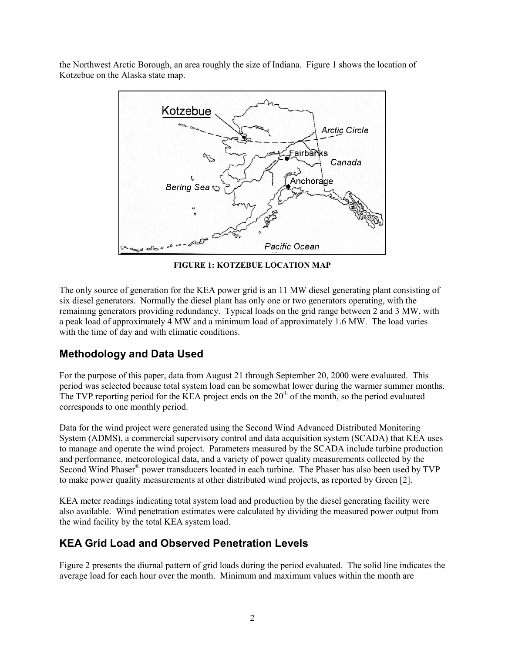the Northwest Arctic Borough, an area roughly the size of Indiana. Figure 1 shows the location of Kotzebue on the Alaska state map.



**FIGURE 1: KOTZEBUE LOCATION MAP**

The only source of generation for the KEA power grid is an 11 MW diesel generating plant consisting of six diesel generators. Normally the diesel plant has only one or two generators operating, with the remaining generators providing redundancy. Typical loads on the grid range between 2 and 3 MW, with a peak load of approximately 4 MW and a minimum load of approximately 1.6 MW. The load varies with the time of day and with climatic conditions.

# **Methodology and Data Used**

For the purpose of this paper, data from August 21 through September 20, 2000 were evaluated. This period was selected because total system load can be somewhat lower during the warmer summer months. The TVP reporting period for the KEA project ends on the  $20<sup>th</sup>$  of the month, so the period evaluated corresponds to one monthly period.

Data for the wind project were generated using the Second Wind Advanced Distributed Monitoring System (ADMS), a commercial supervisory control and data acquisition system (SCADA) that KEA uses to manage and operate the wind project. Parameters measured by the SCADA include turbine production and performance, meteorological data, and a variety of power quality measurements collected by the Second Wind Phaser® power transducers located in each turbine. The Phaser has also been used by TVP to make power quality measurements at other distributed wind projects, as reported by Green [2].

KEA meter readings indicating total system load and production by the diesel generating facility were also available. Wind penetration estimates were calculated by dividing the measured power output from the wind facility by the total KEA system load.

# **KEA Grid Load and Observed Penetration Levels**

Figure 2 presents the diurnal pattern of grid loads during the period evaluated. The solid line indicates the average load for each hour over the month. Minimum and maximum values within the month are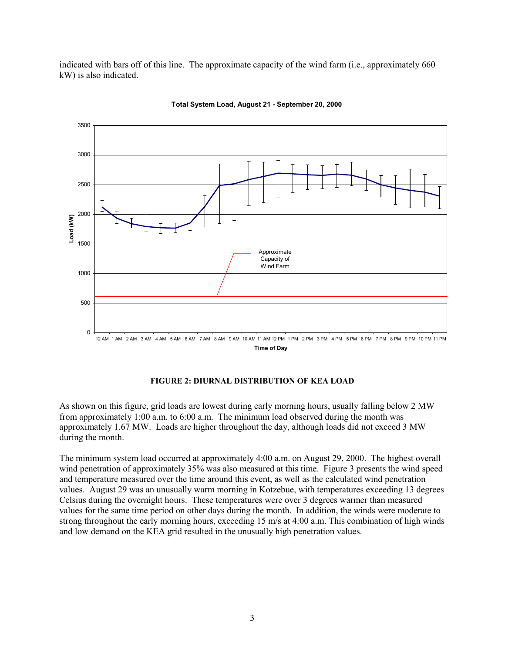indicated with bars off of this line. The approximate capacity of the wind farm (i.e., approximately 660 kW) is also indicated.



**Total System Load, August 21 - September 20, 2000**

#### **FIGURE 2: DIURNAL DISTRIBUTION OF KEA LOAD**

As shown on this figure, grid loads are lowest during early morning hours, usually falling below 2 MW from approximately 1:00 a.m. to 6:00 a.m. The minimum load observed during the month was approximately 1.67 MW. Loads are higher throughout the day, although loads did not exceed 3 MW during the month.

The minimum system load occurred at approximately 4:00 a.m. on August 29, 2000. The highest overall wind penetration of approximately 35% was also measured at this time. Figure 3 presents the wind speed and temperature measured over the time around this event, as well as the calculated wind penetration values. August 29 was an unusually warm morning in Kotzebue, with temperatures exceeding 13 degrees Celsius during the overnight hours. These temperatures were over 3 degrees warmer than measured values for the same time period on other days during the month. In addition, the winds were moderate to strong throughout the early morning hours, exceeding 15 m/s at 4:00 a.m. This combination of high winds and low demand on the KEA grid resulted in the unusually high penetration values.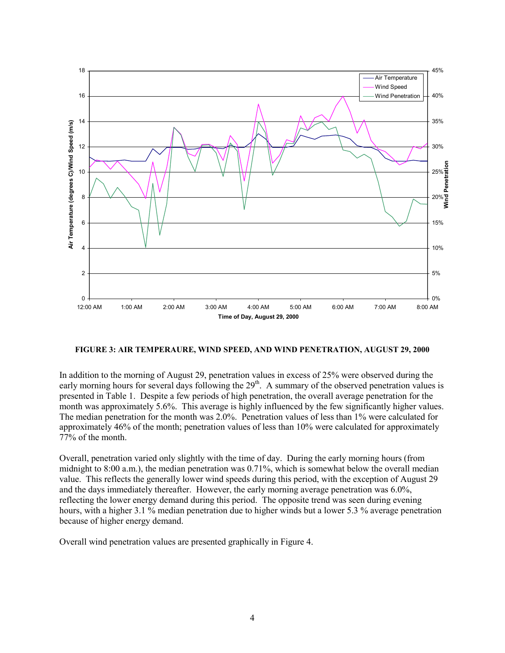

#### **FIGURE 3: AIR TEMPERAURE, WIND SPEED, AND WIND PENETRATION, AUGUST 29, 2000**

In addition to the morning of August 29, penetration values in excess of 25% were observed during the early morning hours for several days following the  $29<sup>th</sup>$ . A summary of the observed penetration values is presented in Table 1. Despite a few periods of high penetration, the overall average penetration for the month was approximately 5.6%. This average is highly influenced by the few significantly higher values. The median penetration for the month was 2.0%. Penetration values of less than 1% were calculated for approximately 46% of the month; penetration values of less than 10% were calculated for approximately 77% of the month.

Overall, penetration varied only slightly with the time of day. During the early morning hours (from midnight to 8:00 a.m.), the median penetration was 0.71%, which is somewhat below the overall median value. This reflects the generally lower wind speeds during this period, with the exception of August 29 and the days immediately thereafter. However, the early morning average penetration was 6.0%, reflecting the lower energy demand during this period. The opposite trend was seen during evening hours, with a higher 3.1 % median penetration due to higher winds but a lower 5.3 % average penetration because of higher energy demand.

Overall wind penetration values are presented graphically in Figure 4.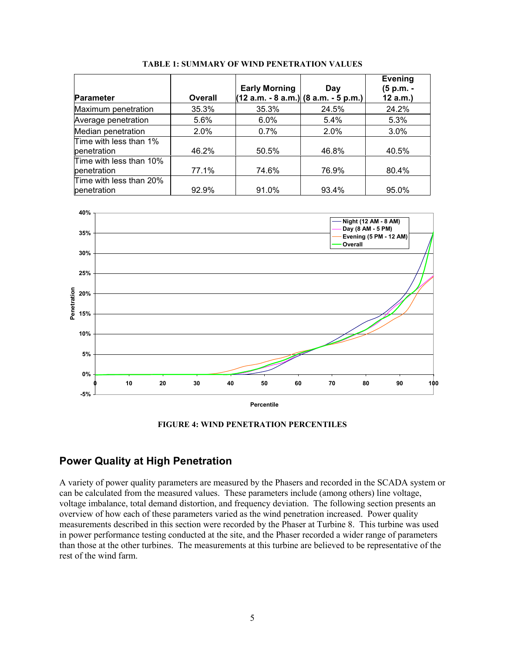|                                        |         | <b>Early Morning</b> | Day                                  | <b>Evening</b><br>(5 p.m. - |
|----------------------------------------|---------|----------------------|--------------------------------------|-----------------------------|
| <b>Parameter</b>                       | Overall |                      | (12 a.m. - 8 a.m.) (8 a.m. - 5 p.m.) | 12 a.m.                     |
| Maximum penetration                    | 35.3%   | 35.3%                | 24.5%                                | 24.2%                       |
| Average penetration                    | 5.6%    | 6.0%                 | 5.4%                                 | 5.3%                        |
| Median penetration                     | $2.0\%$ | 0.7%                 | 2.0%                                 | 3.0%                        |
| Time with less than 1%<br>penetration  | 46.2%   | 50.5%                | 46.8%                                | 40.5%                       |
| Time with less than 10%<br>penetration | 77.1%   | 74.6%                | 76.9%                                | 80.4%                       |
| Time with less than 20%<br>penetration | 92.9%   | 91.0%                | 93.4%                                | 95.0%                       |

**TABLE 1: SUMMARY OF WIND PENETRATION VALUES**



**FIGURE 4: WIND PENETRATION PERCENTILES**

## **Power Quality at High Penetration**

A variety of power quality parameters are measured by the Phasers and recorded in the SCADA system or can be calculated from the measured values. These parameters include (among others) line voltage, voltage imbalance, total demand distortion, and frequency deviation. The following section presents an overview of how each of these parameters varied as the wind penetration increased. Power quality measurements described in this section were recorded by the Phaser at Turbine 8. This turbine was used in power performance testing conducted at the site, and the Phaser recorded a wider range of parameters than those at the other turbines. The measurements at this turbine are believed to be representative of the rest of the wind farm.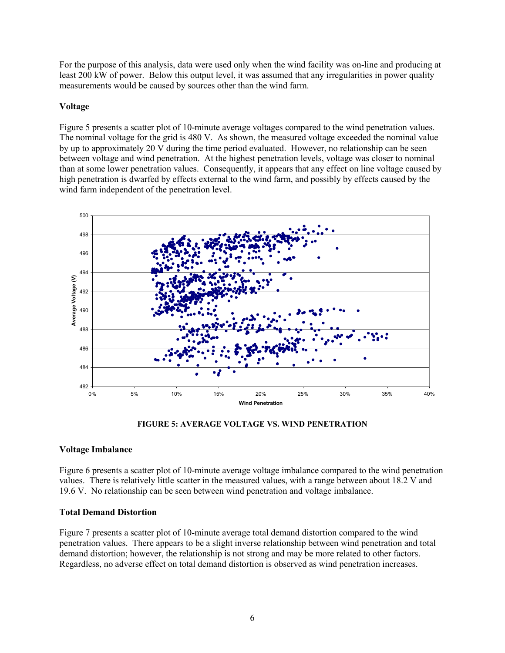For the purpose of this analysis, data were used only when the wind facility was on-line and producing at least 200 kW of power. Below this output level, it was assumed that any irregularities in power quality measurements would be caused by sources other than the wind farm.

#### **Voltage**

Figure 5 presents a scatter plot of 10-minute average voltages compared to the wind penetration values. The nominal voltage for the grid is 480 V. As shown, the measured voltage exceeded the nominal value by up to approximately 20 V during the time period evaluated. However, no relationship can be seen between voltage and wind penetration. At the highest penetration levels, voltage was closer to nominal than at some lower penetration values. Consequently, it appears that any effect on line voltage caused by high penetration is dwarfed by effects external to the wind farm, and possibly by effects caused by the wind farm independent of the penetration level.



**FIGURE 5: AVERAGE VOLTAGE VS. WIND PENETRATION**

### **Voltage Imbalance**

Figure 6 presents a scatter plot of 10-minute average voltage imbalance compared to the wind penetration values. There is relatively little scatter in the measured values, with a range between about 18.2 V and 19.6 V. No relationship can be seen between wind penetration and voltage imbalance.

#### **Total Demand Distortion**

Figure 7 presents a scatter plot of 10-minute average total demand distortion compared to the wind penetration values. There appears to be a slight inverse relationship between wind penetration and total demand distortion; however, the relationship is not strong and may be more related to other factors. Regardless, no adverse effect on total demand distortion is observed as wind penetration increases.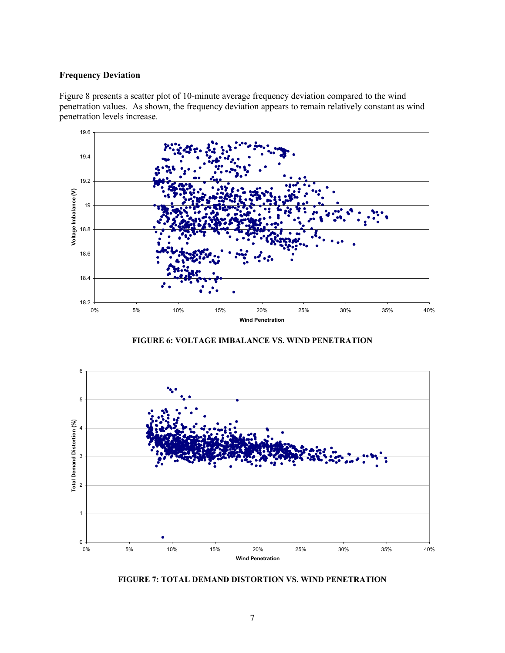## **Frequency Deviation**

Figure 8 presents a scatter plot of 10-minute average frequency deviation compared to the wind penetration values. As shown, the frequency deviation appears to remain relatively constant as wind penetration levels increase.



**FIGURE 6: VOLTAGE IMBALANCE VS. WIND PENETRATION**



**FIGURE 7: TOTAL DEMAND DISTORTION VS. WIND PENETRATION**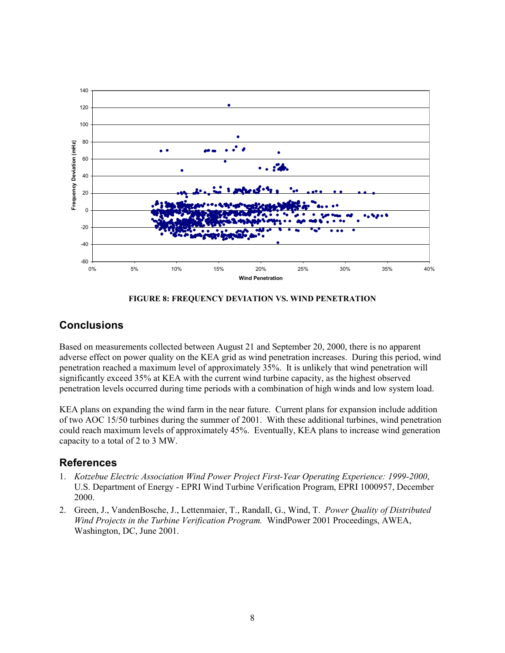



## **Conclusions**

Based on measurements collected between August 21 and September 20, 2000, there is no apparent adverse effect on power quality on the KEA grid as wind penetration increases. During this period, wind penetration reached a maximum level of approximately 35%. It is unlikely that wind penetration will significantly exceed 35% at KEA with the current wind turbine capacity, as the highest observed penetration levels occurred during time periods with a combination of high winds and low system load.

KEA plans on expanding the wind farm in the near future. Current plans for expansion include addition of two AOC 15/50 turbines during the summer of 2001. With these additional turbines, wind penetration could reach maximum levels of approximately 45%. Eventually, KEA plans to increase wind generation capacity to a total of 2 to 3 MW.

## **References**

- 1. *Kotzebue Electric Association Wind Power Project First-Year Operating Experience: 1999-2000*, U.S. Department of Energy - EPRI Wind Turbine Verification Program, EPRI 1000957, December 2000.
- 2. Green, J., VandenBosche, J., Lettenmaier, T., Randall, G., Wind, T. *Power Quality of Distributed Wind Projects in the Turbine Verification Program.* WindPower 2001 Proceedings, AWEA, Washington, DC, June 2001.